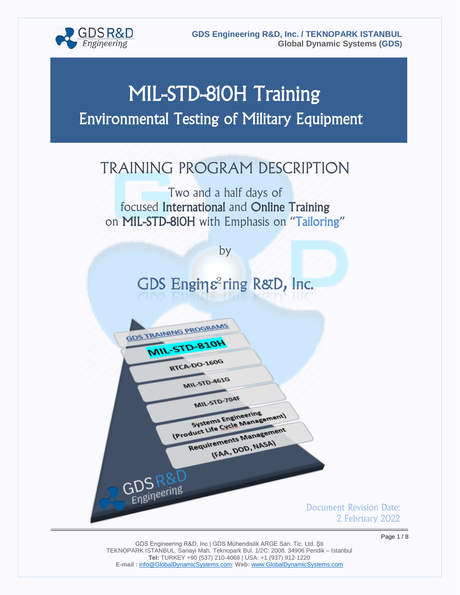

# MIL-STD-810H Training Environmental Testing of Military Equipment

## TRAINING PROGRAM DESCRIPTION

Two and a half days of focused International and Online Training on MIL-STD-810H with Emphasis on "Tailoring"

by

# GDS Enging<sup>2</sup>ring R&D, Inc.

GDS TRAINING PROGRAMS

GDS R&D

MIL-STD-810H

RTCA-DO-160G

MIL-STD-461G

**MIL-STD-704F** 

Systems Engineering Systems Engineering<br>IProduct Life Cycle Management Requirements Management rements Manus<br>(FAA, DOD, NASA)

> Document Revision Date: 2 February 2022

GDS Engineering R&D, Inc | GDS Mühendislik ARGE San. Tic. Ltd. Şti TEKNOPARK ISTANBUL. Sanayi Mah. Teknopark Bul. 1/2C: 2008. 34906 Pendik – Istanbul **Tel:** TURKEY +90 (537) 210-4068 | USA: +1 (937) 912-1220 **E-mail :** [info@GlobalDynamicSystems.com;](mailto:info@GlobalDynamicSystems.com) **Web:** [www.GlobalDynamicSystems.com](http://www.globaldynamicsystems.com/)

Page 1 / 8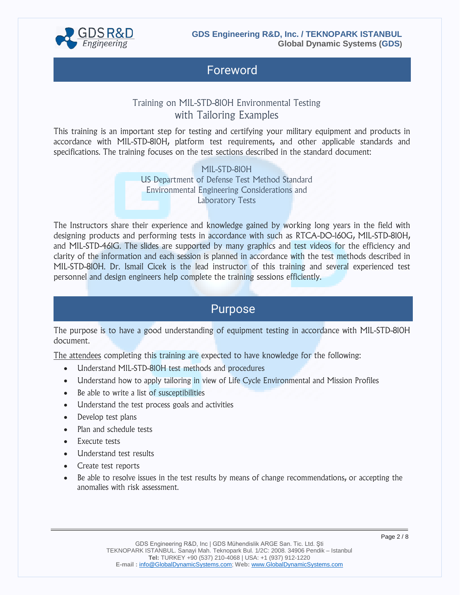

### Foreword

### Training on MIL-STD-810H Environmental Testing with Tailoring Examples

This training is an important step for testing and certifying your military equipment and products in accordance with MIL-STD-810H, platform test requirements, and other applicable standards and specifications. The training focuses on the test sections described in the standard document:

> MIL-STD-810H US Department of Defense Test Method Standard Environmental Engineering Considerations and Laboratory Tests

The Instructors share their experience and knowledge gained by working long years in the field with designing products and performing tests in accordance with such as RTCA-DO-160G, MIL-STD-810H, and MIL-STD-461G. The slides are supported by many graphics and test videos for the efficiency and clarity of the information and each session is planned in accordance with the test methods described in MIL-STD-810H. Dr. Ismail Cicek is the lead instructor of this training and several experienced test personnel and design engineers help complete the training sessions efficiently.

### Purpose

The purpose is to have a good understanding of equipment testing in accordance with MIL-STD-810H document.

The attendees completing this training are expected to have knowledge for the following:

- Understand MIL-STD-810H test methods and procedures
- Understand how to apply tailoring in view of Life Cycle Environmental and Mission Profiles
- Be able to write a list of susceptibilities
- Understand the test process goals and activities
- Develop test plans
- Plan and schedule tests
- Execute tests
- Understand test results
- Create test reports
- Be able to resolve issues in the test results by means of change recommendations, or accepting the anomalies with risk assessment.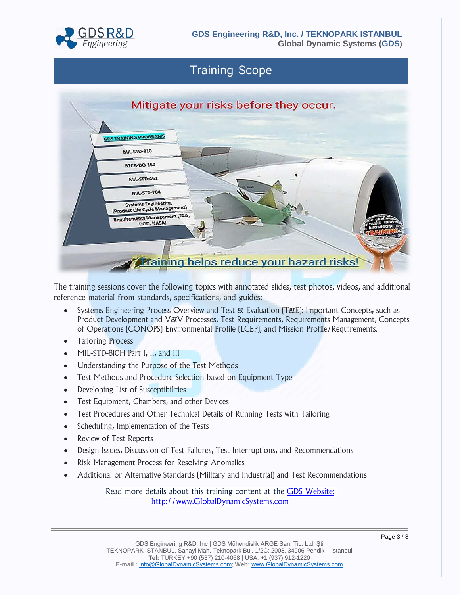

**Global Dynamic Systems (GDS)**

### Training Scope



The training sessions cover the following topics with annotated slides, test photos, videos, and additional reference material from standards, specifications, and guides:

- Systems Engineering Process Overview and Test & Evaluation (T&E): Important Concepts, such as Product Development and V&V Processes, Test Requirements, Requirements Management, Concepts of Operations (CONOPS) Environmental Profile (LCEP), and Mission Profile/Requirements.
- Tailoring Process
- MIL-STD-810H Part I, II, and III
- Understanding the Purpose of the Test Methods
- Test Methods and Procedure Selection based on Equipment Type
- Developing List of Susceptibilities
- Test Equipment, Chambers, and other Devices
- Test Procedures and Other Technical Details of Running Tests with Tailoring
- Scheduling, Implementation of the Tests
- Review of Test Reports
- Design Issues, Discussion of Test Failures, Test Interruptions, and Recommendations
- Risk Management Process for Resolving Anomalies
- Additional or Alternative Standards (Military and Industrial) and Test Recommendations

Read more details about this training content at the [GDS Website:](https://www.globaldynamicsystems.com/) [http://www.GlobalDynamicSystems.com](http://www.globaldynamicsystems.com/)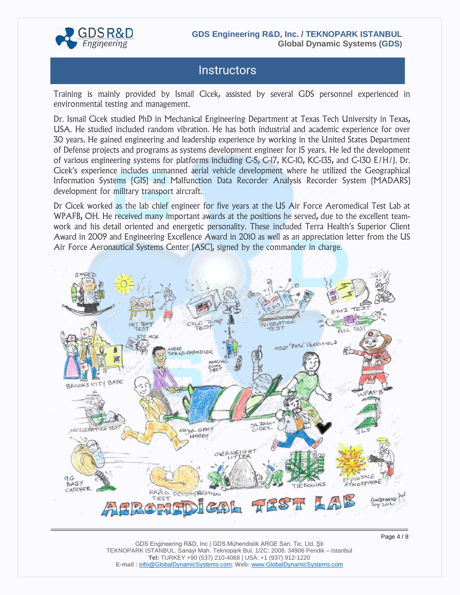

### **Instructors**

Training is mainly provided by Ismail Cicek, assisted by several GDS personnel experienced in environmental testing and management.

Dr. Ismail Cicek studied PhD in Mechanical Engineering Department at Texas Tech University in Texas, USA. He studied included random vibration. He has both industrial and academic experience for over 30 years. He gained engineering and leadership experience by working in the United States Department of Defense projects and programs as systems development engineer for 15 years. He led the development of various engineering systems for platforms including C-5, C-17, KC-10, KC-135, and C-130 E/H/J. Dr. Cicek's experience includes unmanned aerial vehicle development where he utilized the Geographical Information Systems (GIS) and Malfunction Data Recorder Analysis Recorder System (MADARS) development for military transport aircraft.

Dr Cicek worked as the lab chief engineer for five years at the US Air Force Aeromedical Test Lab at WPAFB, OH. He received many important awards at the positions he served, due to the excellent teamwork and his detail oriented and energetic personality. These included Terra Health's Superior Client Award in 2009 and Engineering Excellence Award in 2010 as well as an appreciation letter from the US Air Force Aeronautical Systems Center (ASC), signed by the commander in charge.

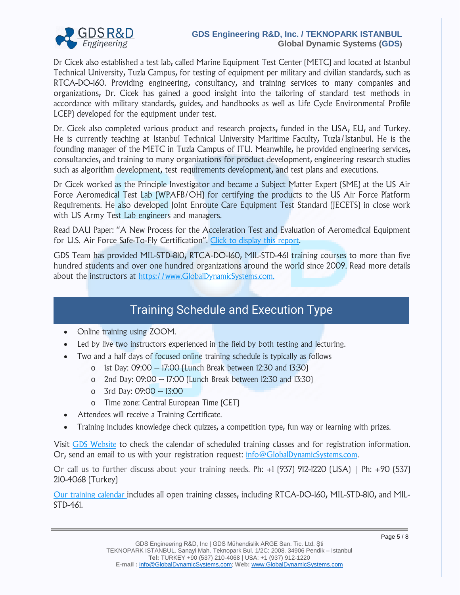![](_page_4_Picture_0.jpeg)

#### **GDS Engineering R&D, Inc. / TEKNOPARK ISTANBUL Global Dynamic Systems (GDS)**

Dr Cicek also established a test lab, called Marine Equipment Test Center (METC) and located at Istanbul Technical University, Tuzla Campus, for testing of equipment per military and civilian standards, such as RTCA-DO-160. Providing engineering, consultancy, and training services to many companies and organizations, Dr. Cicek has gained a good insight into the tailoring of standard test methods in accordance with military standards, guides, and handbooks as well as Life Cycle Environmental Profile LCEP) developed for the equipment under test.

Dr. Cicek also completed various product and research projects, funded in the USA, EU, and Turkey. He is currently teaching at Istanbul Technical University Maritime Faculty, Tuzla/Istanbul. He is the founding manager of the METC in Tuzla Campus of ITU. Meanwhile, he provided engineering services, consultancies, and training to many organizations for product development, engineering research studies such as algorithm development, test requirements development, and test plans and executions.

Dr Cicek worked as the Principle Investigator and became a Subject Matter Expert (SME) at the US Air Force Aeromedical Test Lab (WPAFB/OH) for certifying the products to the US Air Force Platform Requirements. He also developed Joint Enroute Care Equipment Test Standard (JECETS) in close work with US Army Test Lab engineers and managers.

Read DAU Paper: "A New Process for the Acceleration Test and Evaluation of Aeromedical Equipment for U.S. Air Force Safe-To-Fly Certification". [Click to display this report.](https://apps.dtic.mil/sti/citations/ADA529302)

GDS Team has provided MIL-STD-810, RTCA-DO-160, MIL-STD-461 training courses to more than five hundred students and over one hundred organizations around the world since 2009. Read more details about the instructors at [https://www.GlobalDynamicSystems.com.](http://www.globaldynamicsystems.com/)

### Training Schedule and Execution Type

- Online training using ZOOM.
- Led by live two instructors experienced in the field by both testing and lecturing.
- Two and a half days of focused online training schedule is typically as follows
	- o 1st Day: 09:00 17:00 (Lunch Break between 12:30 and 13:30)
	- o 2nd Day: 09:00 17:00 (Lunch Break between 12:30 and 13:30)
	- o 3rd Day: 09:00 13:00
	- o Time zone: Central European Time (CET)
- Attendees will receive a Training Certificate.
- Training includes knowledge check quizzes, a competition type, fun way or learning with prizes.

Visit [GDS Website](https://www.globaldynamicsystems.com/posts/training-calendar-systems-engineering/) to check the calendar of scheduled training classes and for registration information. Or, send an email to us with your registration request: [info@GlobalDynamicSystems.com.](mailto:info@GlobalDynamicSystems.com)

Or call us to further discuss about your training needs. Ph: +1 (937) 912-1220 (USA) | Ph: +90 (537) 210-4068 (Turkey)

[Our training calendar](https://www.globaldynamicsystems.com/posts/training-calendar-systems-engineering/) includes all open training classes, including RTCA-DO-160, MIL-STD-810, and MIL-STD-461.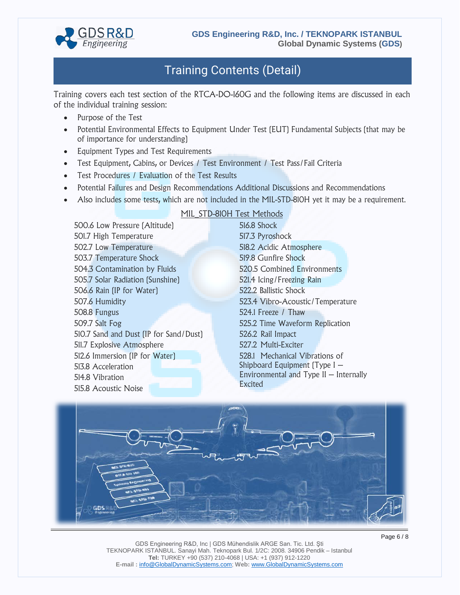![](_page_5_Picture_0.jpeg)

### Training Contents (Detail)

Training covers each test section of the RTCA-DO-160G and the following items are discussed in each of the individual training session:

- Purpose of the Test
- Potential Environmental Effects to Equipment Under Test (EUT) Fundamental Subjects (that may be of importance for understanding)
- Equipment Types and Test Requirements
- Test Equipment, Cabins, or Devices / Test Environment / Test Pass/Fail Criteria
- Test Procedures / Evaluation of the Test Results
- Potential Failures and Design Recommendations Additional Discussions and Recommendations
- Also includes some tests, which are not included in the MIL-STD-810H yet it may be a requirement.

500.6 Low Pressure (Altitude) 501.7 High Temperature 502.7 Low Temperature 503.7 Temperature Shock 504.3 Contamination by Fluids 505.7 Solar Radiation (Sunshine) 506.6 Rain (IP for Water) 507.6 Humidity 508.8 Fungus 509.7 Salt Fog 510.7 Sand and Dust (IP for Sand/Dust) 511.7 Explosive Atmosphere 512.6 Immersion (IP for Water) 513.8 Acceleration 514.8 Vibration 515.8 Acoustic Noise

#### MIL STD-810H Test Methods

516.8 Shock 517.3 Pyroshock 518.2 Acidic Atmosphere 519.8 Gunfire Shock 520.5 Combined Environments 521.4 Icing/Freezing Rain 522.2 Ballistic Shock 523.4 Vibro-Acoustic/Temperature 524.1 Freeze / Thaw 525.2 Time Waveform Replication 526.2 Rail Impact 527.2 Multi-Exciter 528.1 Mechanical Vibrations of Shipboard Equipment (Type I – Environmental and Type II – Internally Excited

![](_page_5_Picture_14.jpeg)

GDS Engineering R&D, Inc | GDS Mühendislik ARGE San. Tic. Ltd. Şti TEKNOPARK ISTANBUL. Sanayi Mah. Teknopark Bul. 1/2C: 2008. 34906 Pendik – Istanbul **Tel:** TURKEY +90 (537) 210-4068 | USA: +1 (937) 912-1220 **E-mail :** [info@GlobalDynamicSystems.com;](mailto:info@GlobalDynamicSystems.com) **Web:** [www.GlobalDynamicSystems.com](http://www.globaldynamicsystems.com/)

Page 6 / 8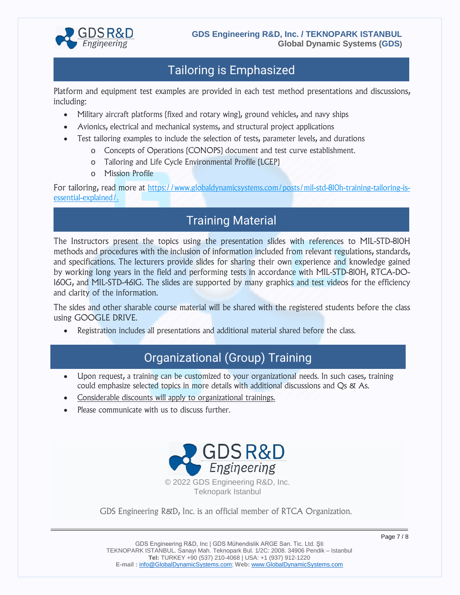![](_page_6_Picture_0.jpeg)

### Tailoring is Emphasized

Platform and equipment test examples are provided in each test method presentations and discussions, including:

- Military aircraft platforms (fixed and rotary wing), ground vehicles, and navy ships
- Avionics, electrical and mechanical systems, and structural project applications
- Test tailoring examples to include the selection of tests, parameter levels, and durations
	- o Concepts of Operations (CONOPS) document and test curve establishment.
	- o Tailoring and Life Cycle Environmental Profile (LCEP)
	- o Mission Profile

For tailoring, read more at [https://www.globaldynamicsystems.com/posts/mil-std-810h-training-tailoring-is](https://www.globaldynamicsystems.com/posts/mil-std-810h-training-tailoring-is-essential-explained/)[essential-explained/.](https://www.globaldynamicsystems.com/posts/mil-std-810h-training-tailoring-is-essential-explained/)

### Training Material

The Instructors present the topics using the presentation slides with references to MIL-STD-810H methods and procedures with the inclusion of information included from relevant regulations, standards, and specifications. The lecturers provide slides for sharing their own experience and knowledge gained by working long years in the field and performing tests in accordance with MIL-STD-810H, RTCA-DO-160G, and MIL-STD-461G. The slides are supported by many graphics and test videos for the efficiency and clarity of the information.

The sides and other sharable course material will be shared with the registered students before the class using GOOGLE DRIVE.

• Registration includes all presentations and additional material shared before the class.

### Organizational (Group) Training

- Upon request, a training can be customized to your organizational needs. In such cases, training could emphasize selected topics in more details with additional discussions and Qs & As.
- Considerable discounts will apply to organizational trainings.
- Please communicate with us to discuss further.

![](_page_6_Picture_19.jpeg)

GDS Engineering R&D, Inc. is an official member of RTCA Organization.